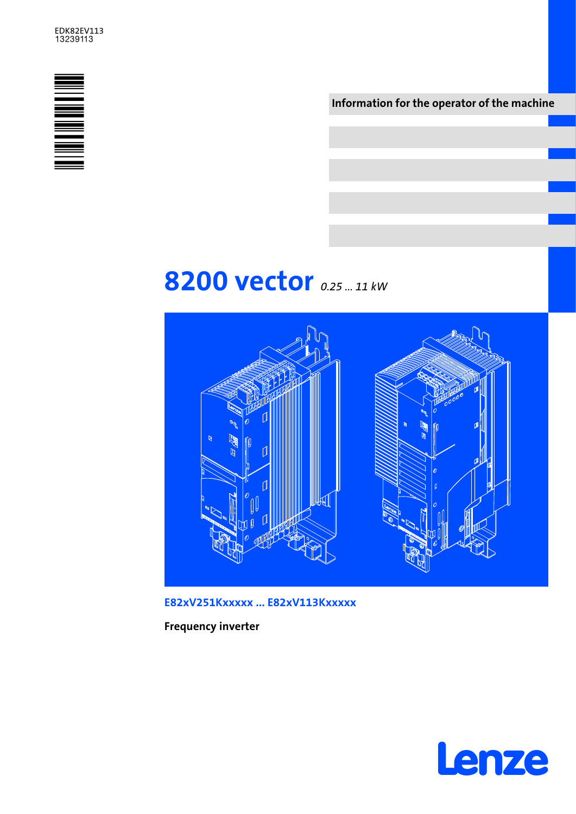### EDK82EV113<br>13239113



Information for the operator of the machine

# 8200 vector 0.25 ... 11 kw



E82xV251Kxxxxx ... E82xV113Kxxxxx

Frequency inverter

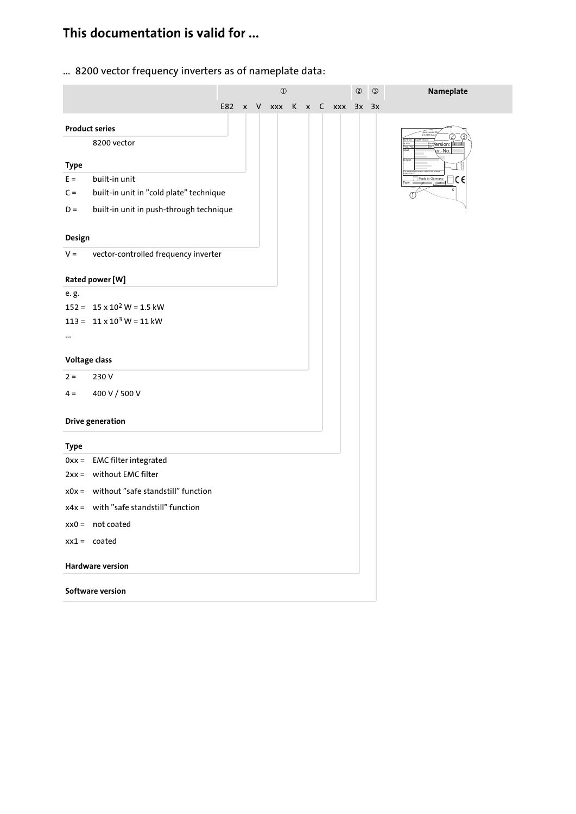## This documentation is valid for ...

... 8200 vector frequency inverters as of nameplate data:

|                      |                                          | $\textcircled{\scriptsize{1}}$ |  |  |  |  | $\circledcirc$ | $\circledS$                 | Nameplate |  |                              |
|----------------------|------------------------------------------|--------------------------------|--|--|--|--|----------------|-----------------------------|-----------|--|------------------------------|
|                      |                                          |                                |  |  |  |  |                | E82 x V xxx K x C xxx 3x 3x |           |  |                              |
|                      | <b>Product series</b>                    |                                |  |  |  |  |                |                             |           |  |                              |
|                      | 8200 vector                              |                                |  |  |  |  |                |                             |           |  | ersion:<br>P                 |
|                      |                                          |                                |  |  |  |  |                |                             |           |  | er.-No:                      |
| <b>Type</b><br>$E =$ | built-in unit                            |                                |  |  |  |  |                |                             |           |  | $\Box$ CE<br>Made in Germany |
| $C =$                | built-in unit in "cold plate" technique  |                                |  |  |  |  |                |                             |           |  | Type:                        |
| $D =$                | built-in unit in push-through technique  |                                |  |  |  |  |                |                             |           |  |                              |
|                      |                                          |                                |  |  |  |  |                |                             |           |  |                              |
| Design               |                                          |                                |  |  |  |  |                |                             |           |  |                              |
| $V =$                | vector-controlled frequency inverter     |                                |  |  |  |  |                |                             |           |  |                              |
|                      |                                          |                                |  |  |  |  |                |                             |           |  |                              |
|                      | Rated power [W]                          |                                |  |  |  |  |                |                             |           |  |                              |
| e.g.                 | $152 = 15 \times 10^2$ W = 1.5 kW        |                                |  |  |  |  |                |                             |           |  |                              |
|                      | 113 = $11 \times 10^3$ W = 11 kW         |                                |  |  |  |  |                |                             |           |  |                              |
|                      |                                          |                                |  |  |  |  |                |                             |           |  |                              |
|                      |                                          |                                |  |  |  |  |                |                             |           |  |                              |
| Voltage class        |                                          |                                |  |  |  |  |                |                             |           |  |                              |
| $2 =$                | 230V                                     |                                |  |  |  |  |                |                             |           |  |                              |
| $4 =$                | 400 V / 500 V                            |                                |  |  |  |  |                |                             |           |  |                              |
|                      |                                          |                                |  |  |  |  |                |                             |           |  |                              |
|                      | <b>Drive generation</b>                  |                                |  |  |  |  |                |                             |           |  |                              |
| <b>Type</b>          |                                          |                                |  |  |  |  |                |                             |           |  |                              |
|                      | 0xx = EMC filter integrated              |                                |  |  |  |  |                |                             |           |  |                              |
|                      | 2xx = without EMC filter                 |                                |  |  |  |  |                |                             |           |  |                              |
|                      | x0x = without "safe standstill" function |                                |  |  |  |  |                |                             |           |  |                              |
|                      | $x4x =$ with "safe standstill" function  |                                |  |  |  |  |                |                             |           |  |                              |
|                      | $xx0 = not coated$                       |                                |  |  |  |  |                |                             |           |  |                              |
|                      | $xx1 = \c{c}$                            |                                |  |  |  |  |                |                             |           |  |                              |
|                      |                                          |                                |  |  |  |  |                |                             |           |  |                              |
|                      | <b>Hardware version</b>                  |                                |  |  |  |  |                |                             |           |  |                              |
|                      | Software version                         |                                |  |  |  |  |                |                             |           |  |                              |
|                      |                                          |                                |  |  |  |  |                |                             |           |  |                              |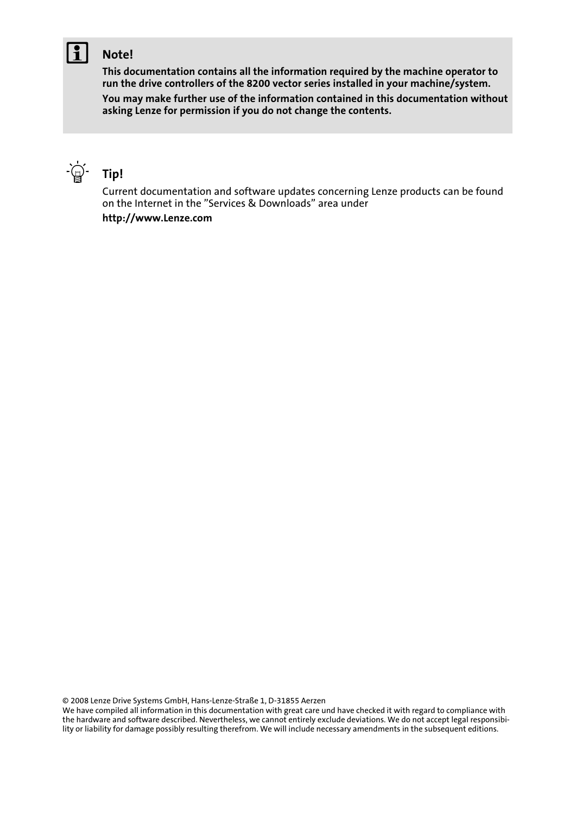### Note!

This documentation contains all the information required by the machine operator to run the drive controllers of the 8200 vector series installed in your machine/system.

You may make further use of the information contained in this documentation without asking Lenze for permission if you do not change the contents.



Current documentation and software updates concerning Lenze products can be found on the Internet in the "Services & Downloads" area under http://www.Lenze.com

© 2008 Lenze Drive Systems GmbH, Hans−Lenze−Straße 1, D−31855 Aerzen

We have compiled all information in this documentation with great care und have checked it with regard to compliance with the hardware and software described. Nevertheless, we cannot entirely exclude deviations. We do not accept legal responsibility or liability for damage possibly resulting therefrom. We will include necessary amendments in the subsequent editions.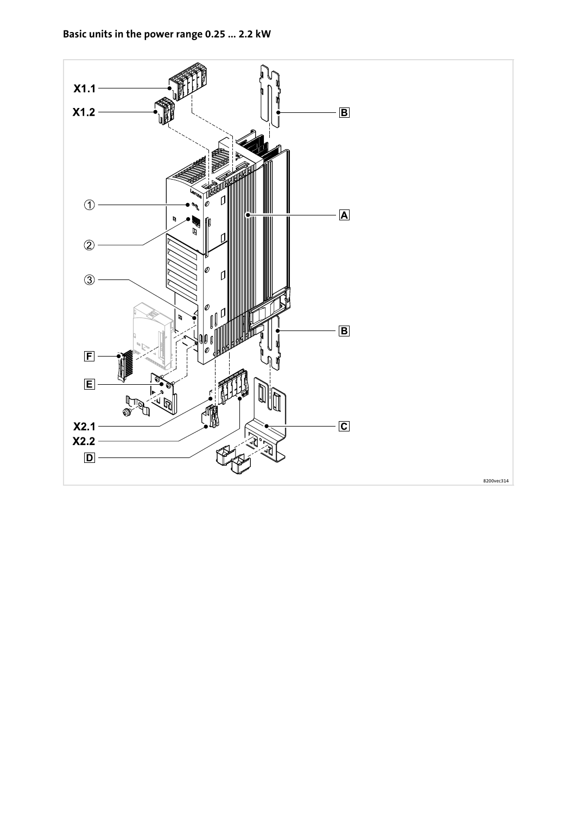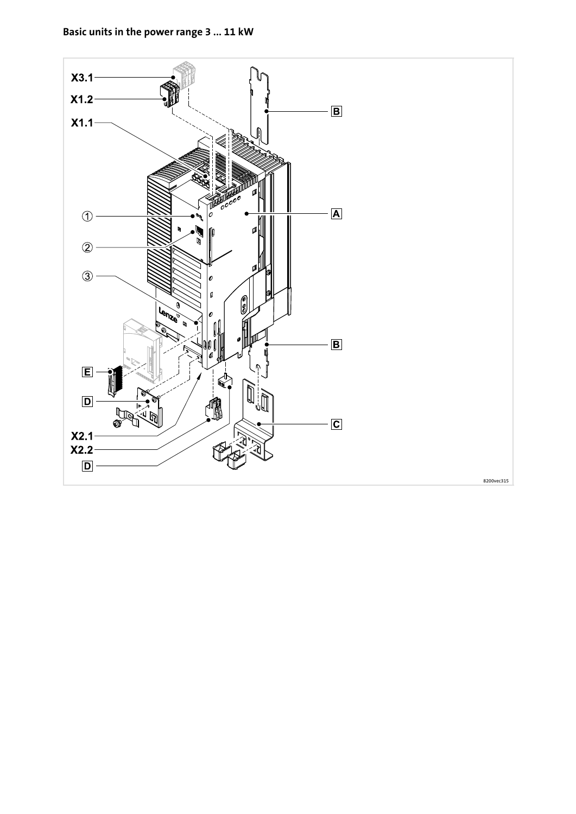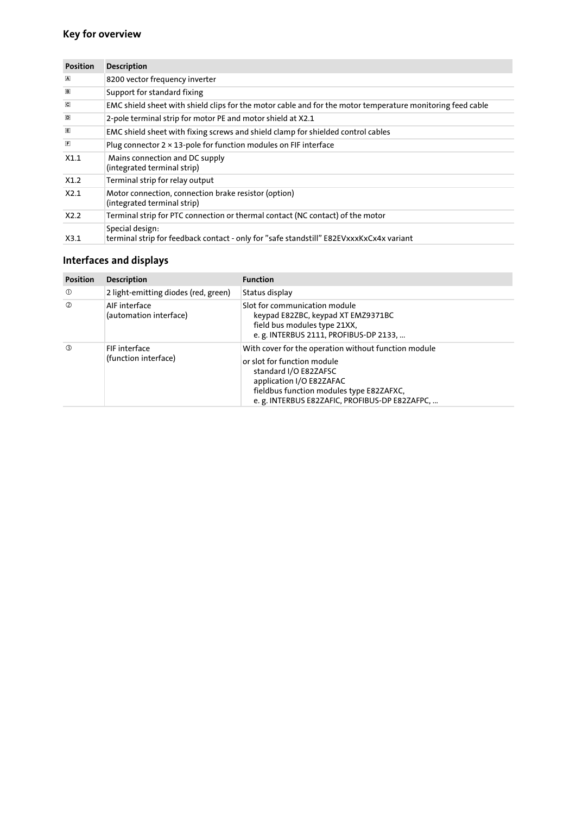#### Key for overview

| <b>Position</b>         | <b>Description</b>                                                                                         |
|-------------------------|------------------------------------------------------------------------------------------------------------|
| $\overline{\mathbf{A}}$ | 8200 vector frequency inverter                                                                             |
| $\boxed{B}$             | Support for standard fixing                                                                                |
| $\overline{\mathbf{C}}$ | EMC shield sheet with shield clips for the motor cable and for the motor temperature monitoring feed cable |
| D                       | 2-pole terminal strip for motor PE and motor shield at X2.1                                                |
| 圓                       | EMC shield sheet with fixing screws and shield clamp for shielded control cables                           |
| $\mathbf{E}$            | Plug connector $2 \times 13$ -pole for function modules on FIF interface                                   |
| X1.1                    | Mains connection and DC supply<br>(integrated terminal strip)                                              |
| X1.2                    | Terminal strip for relay output                                                                            |
| X2.1                    | Motor connection, connection brake resistor (option)<br>(integrated terminal strip)                        |
| X2.2                    | Terminal strip for PTC connection or thermal contact (NC contact) of the motor                             |
| X3.1                    | Special design:<br>terminal strip for feedback contact - only for "safe standstill" E82EVxxxKxCx4x variant |

### Interfaces and displays

| <b>Position</b> | <b>Description</b>                      | <b>Function</b>                                                                                                                                                                                                                        |
|-----------------|-----------------------------------------|----------------------------------------------------------------------------------------------------------------------------------------------------------------------------------------------------------------------------------------|
| $\circledcirc$  | 2 light-emitting diodes (red, green)    | Status display                                                                                                                                                                                                                         |
| $\circled{2}$   | AIF interface<br>(automation interface) | Slot for communication module<br>keypad E82ZBC, keypad XT EMZ9371BC<br>field bus modules type 21XX,<br>e. g. INTERBUS 2111, PROFIBUS-DP 2133,                                                                                          |
| (3)             | FIF interface<br>(function interface)   | With cover for the operation without function module<br>or slot for function module<br>standard I/O E82ZAFSC<br>application I/O E82ZAFAC<br>fieldbus function modules type E82ZAFXC,<br>e. g. INTERBUS E82ZAFIC, PROFIBUS-DP E82ZAFPC, |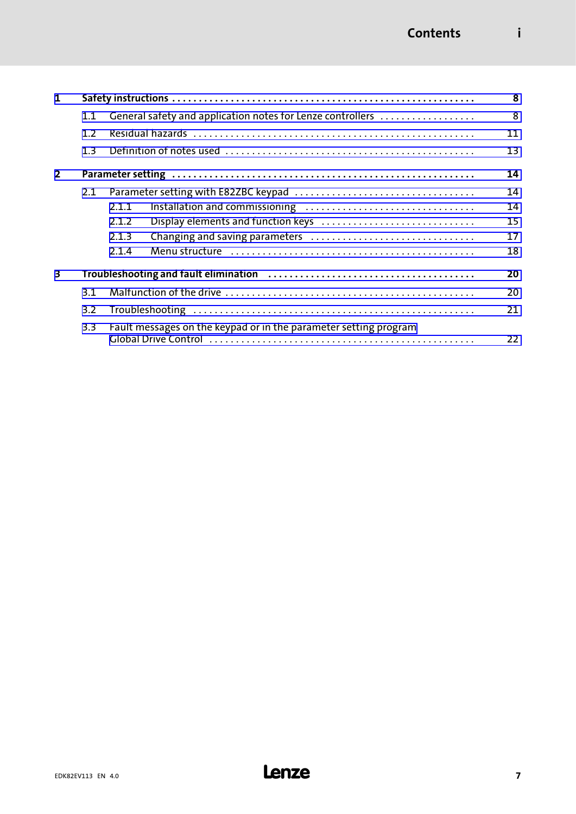| 1              |                                                                   |                                                                                                                            |    |  |  |  |  |  |  |
|----------------|-------------------------------------------------------------------|----------------------------------------------------------------------------------------------------------------------------|----|--|--|--|--|--|--|
|                | General safety and application notes for Lenze controllers<br>1.1 |                                                                                                                            |    |  |  |  |  |  |  |
|                | 1.2                                                               |                                                                                                                            |    |  |  |  |  |  |  |
|                | 1.3                                                               |                                                                                                                            | 13 |  |  |  |  |  |  |
| $\overline{2}$ |                                                                   |                                                                                                                            | 14 |  |  |  |  |  |  |
|                | 2.1                                                               |                                                                                                                            | 14 |  |  |  |  |  |  |
|                |                                                                   | 2.1.1                                                                                                                      | 14 |  |  |  |  |  |  |
|                |                                                                   | Display elements and function keys<br>2.1.2                                                                                | 15 |  |  |  |  |  |  |
|                |                                                                   | 2.1.3                                                                                                                      | 17 |  |  |  |  |  |  |
|                |                                                                   | Menu structure (and all and all and all and all and all and all and all and all and all and all and all and all a<br>2.1.4 | 18 |  |  |  |  |  |  |
| 3              |                                                                   |                                                                                                                            | 20 |  |  |  |  |  |  |
|                | 3.1                                                               |                                                                                                                            | 20 |  |  |  |  |  |  |
|                | 3.2                                                               |                                                                                                                            | 21 |  |  |  |  |  |  |
|                | 3.3                                                               | Fault messages on the keypad or in the parameter setting program                                                           | 22 |  |  |  |  |  |  |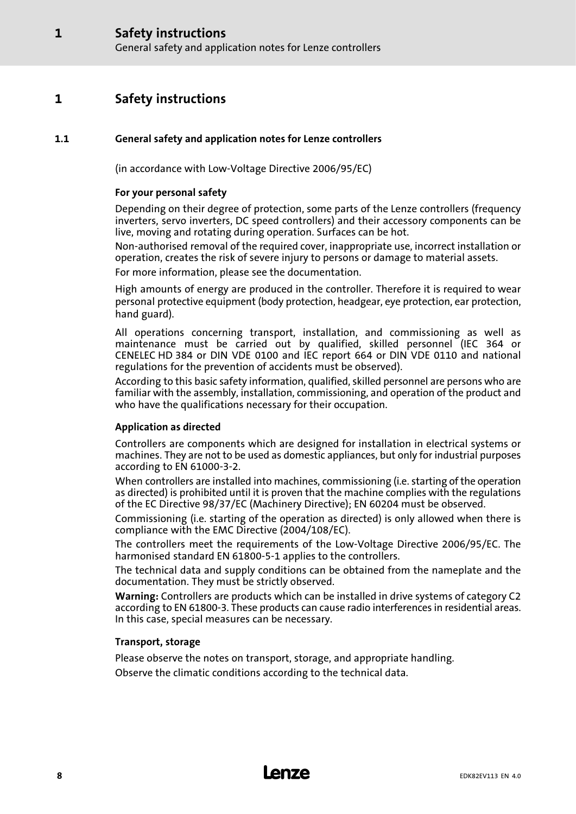### <span id="page-7-0"></span>1 Safety instructions

#### 1.1 General safety and application notes for Lenze controllers

(in accordance with Low−Voltage Directive 2006/95/EC)

#### For your personal safety

Depending on their degree of protection, some parts of the Lenze controllers (frequency inverters, servo inverters, DC speed controllers) and their accessory components can be live, moving and rotating during operation. Surfaces can be hot.

Non−authorised removal of the required cover, inappropriate use, incorrect installation or operation, creates the risk of severe injury to persons or damage to material assets.

For more information, please see the documentation.

High amounts of energy are produced in the controller. Therefore it is required to wear personal protective equipment (body protection, headgear, eye protection, ear protection, hand guard).

All operations concerning transport, installation, and commissioning as well as maintenance must be carried out by qualified, skilled personnel (IEC 364 or CENELEC HD 384 or DIN VDE 0100 and IEC report 664 or DIN VDE 0110 and national regulations for the prevention of accidents must be observed).

According to this basic safety information, qualified, skilled personnel are persons who are familiar with the assembly, installation, commissioning, and operation of the product and who have the qualifications necessary for their occupation.

#### Application as directed

Controllers are components which are designed for installation in electrical systems or machines. They are not to be used as domestic appliances, but only for industrial purposes according to EN 61000−3−2.

When controllers are installed into machines, commissioning (i.e. starting of the operation as directed) is prohibited until it is proven that the machine complies with the regulations of the EC Directive 98/37/EC (Machinery Directive); EN 60204 must be observed.

Commissioning (i.e. starting of the operation as directed) is only allowed when there is compliance with the EMC Directive (2004/108/EC).

The controllers meet the requirements of the Low−Voltage Directive 2006/95/EC. The harmonised standard EN 61800−5−1 applies to the controllers.

The technical data and supply conditions can be obtained from the nameplate and the documentation. They must be strictly observed.

Warning: Controllers are products which can be installed in drive systems of category C2 according to EN 61800−3. These products can cause radio interferences in residential areas. In this case, special measures can be necessary.

#### Transport, storage

Please observe the notes on transport, storage, and appropriate handling.

Observe the climatic conditions according to the technical data.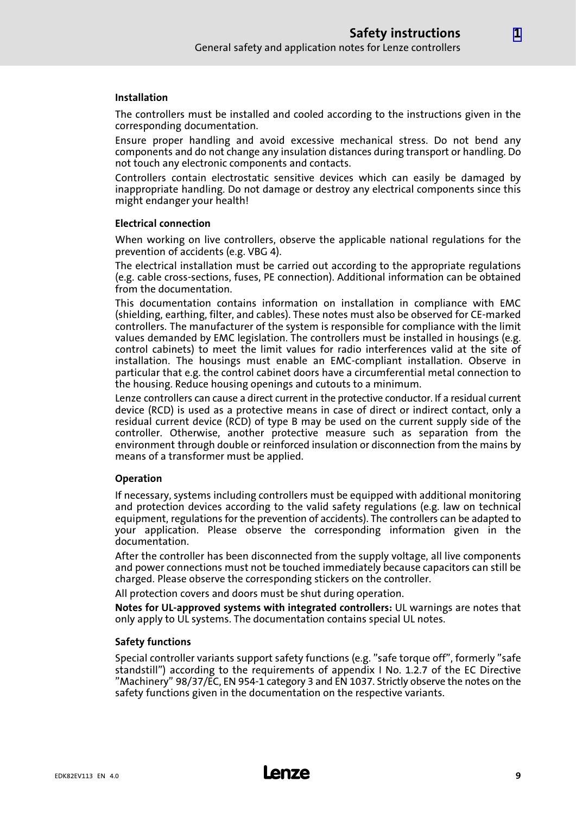#### Installation

The controllers must be installed and cooled according to the instructions given in the corresponding documentation.

Ensure proper handling and avoid excessive mechanical stress. Do not bend any components and do not change any insulation distances during transport or handling. Do not touch any electronic components and contacts.

Controllers contain electrostatic sensitive devices which can easily be damaged by inappropriate handling. Do not damage or destroy any electrical components since this might endanger your health!

#### Electrical connection

When working on live controllers, observe the applicable national regulations for the prevention of accidents (e.g. VBG 4).

The electrical installation must be carried out according to the appropriate regulations (e.g. cable cross−sections, fuses, PE connection). Additional information can be obtained from the documentation.

This documentation contains information on installation in compliance with EMC (shielding, earthing, filter, and cables). These notes must also be observed for CE−marked controllers. The manufacturer of the system is responsible for compliance with the limit values demanded by EMC legislation. The controllers must be installed in housings (e.g. control cabinets) to meet the limit values for radio interferences valid at the site of installation. The housings must enable an EMC−compliant installation. Observe in particular that e.g. the control cabinet doors have a circumferential metal connection to the housing. Reduce housing openings and cutouts to a minimum.

Lenze controllers can cause a direct current in the protective conductor. If a residual current device (RCD) is used as a protective means in case of direct or indirect contact, only a residual current device (RCD) of type B may be used on the current supply side of the controller. Otherwise, another protective measure such as separation from the environment through double or reinforced insulation or disconnection from the mains by means of a transformer must be applied.

#### Operation

If necessary, systems including controllers must be equipped with additional monitoring and protection devices according to the valid safety regulations (e.g. law on technical equipment, regulations for the prevention of accidents). The controllers can be adapted to your application. Please observe the corresponding information given in the documentation.

After the controller has been disconnected from the supply voltage, all live components and power connections must not be touched immediately because capacitors can still be charged. Please observe the corresponding stickers on the controller.

All protection covers and doors must be shut during operation.

Notes for UL−approved systems with integrated controllers: UL warnings are notes that only apply to UL systems. The documentation contains special UL notes.

#### Safety functions

Special controller variants support safety functions (e.g. "safe torque off", formerly "safe standstill") according to the requirements of appendix I No. 1.2.7 of the EC Directive "Machinery" 98/37/EC, EN 954−1 category 3 and EN 1037. Strictly observe the notes on the safety functions given in the documentation on the respective variants.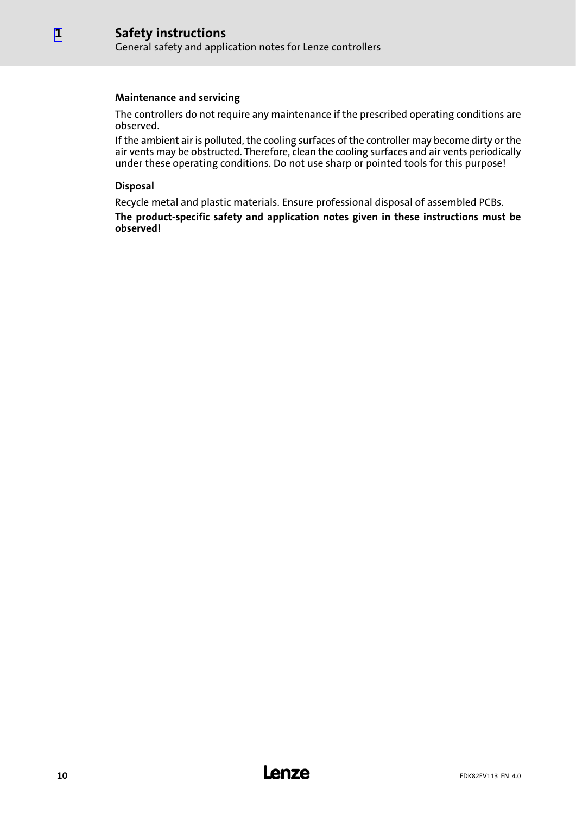#### Maintenance and servicing

The controllers do not require any maintenance if the prescribed operating conditions are observed.

If the ambient air is polluted, the cooling surfaces of the controller may become dirty or the air vents may be obstructed. Therefore, clean the cooling surfaces and air vents periodically under these operating conditions. Do not use sharp or pointed tools for this purpose!

#### Disposal

[1](#page-7-0)

Recycle metal and plastic materials. Ensure professional disposal of assembled PCBs. The product−specific safety and application notes given in these instructions must be observed!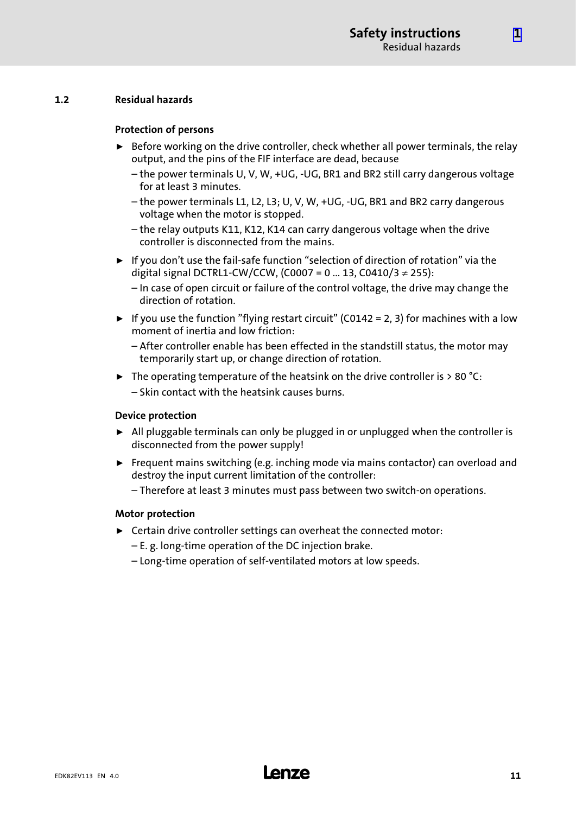#### <span id="page-10-0"></span>1.2 Residual hazards

#### Protection of persons

- $\triangleright$  Before working on the drive controller, check whether all power terminals, the relay output, and the pins of the FIF interface are dead, because
	- the power terminals U, V, W, +UG, −UG, BR1 and BR2 still carry dangerous voltage for at least 3 minutes.
	- the power terminals L1, L2, L3; U, V, W, +UG, −UG, BR1 and BR2 carry dangerous voltage when the motor is stopped.
	- the relay outputs K11, K12, K14 can carry dangerous voltage when the drive controller is disconnected from the mains.
- ► If you don't use the fail-safe function "selection of direction of rotation" via the digital signal DCTRL1-CW/CCW, (C0007 = 0 ... 13, C0410/3 ≠ 255):
	- In case of open circuit or failure of the control voltage, the drive may change the direction of rotation.
- $\blacktriangleright$  If you use the function "flying restart circuit" (C0142 = 2, 3) for machines with a low moment of inertia and low friction:
	- After controller enable has been effected in the standstill status, the motor may temporarily start up, or change direction of rotation.
- $\triangleright$  The operating temperature of the heatsink on the drive controller is > 80 °C: – Skin contact with the heatsink causes burns.

#### Device protection

- $\blacktriangleright$  All pluggable terminals can only be plugged in or unplugged when the controller is disconnected from the power supply!
- $\blacktriangleright$  Frequent mains switching (e.g. inching mode via mains contactor) can overload and destroy the input current limitation of the controller:
	- Therefore at least 3 minutes must pass between two switch−on operations.

#### Motor protection

- $\blacktriangleright$  Certain drive controller settings can overheat the connected motor:
	- E. g. long−time operation of the DC injection brake.
	- Long−time operation of self−ventilated motors at low speeds.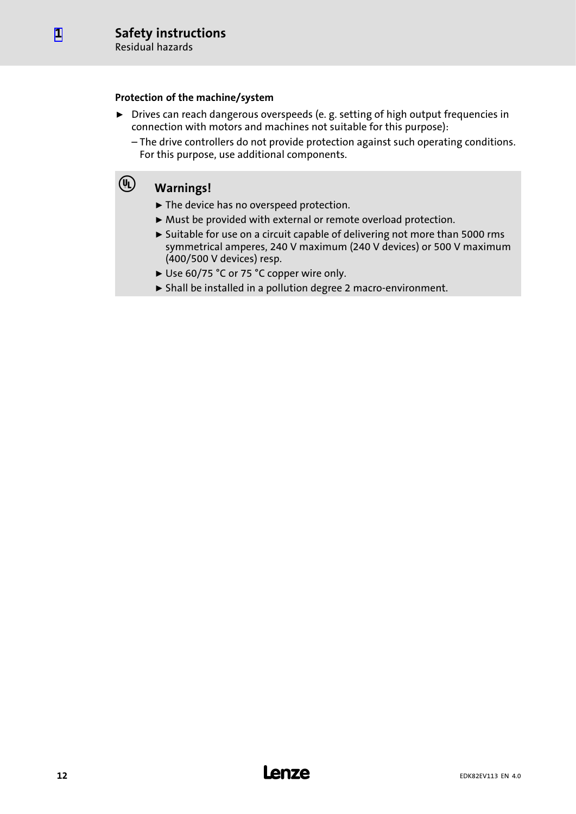[1](#page-7-0)

#### Protection of the machine/system

- ▶ Drives can reach dangerous overspeeds (e. g. setting of high output frequencies in connection with motors and machines not suitable for this purpose):
	- The drive controllers do not provide protection against such operating conditions. For this purpose, use additional components.

### Warnings!

- ▶ The device has no overspeed protection.
- ▶ Must be provided with external or remote overload protection.
- ► Suitable for use on a circuit capable of delivering not more than 5000 rms symmetrical amperes, 240 V maximum (240 V devices) or 500 V maximum (400/500 V devices) resp.
- ► Use 60/75 °C or 75 °C copper wire only.
- ƒ Shall be installed in a pollution degree 2 macro−environment.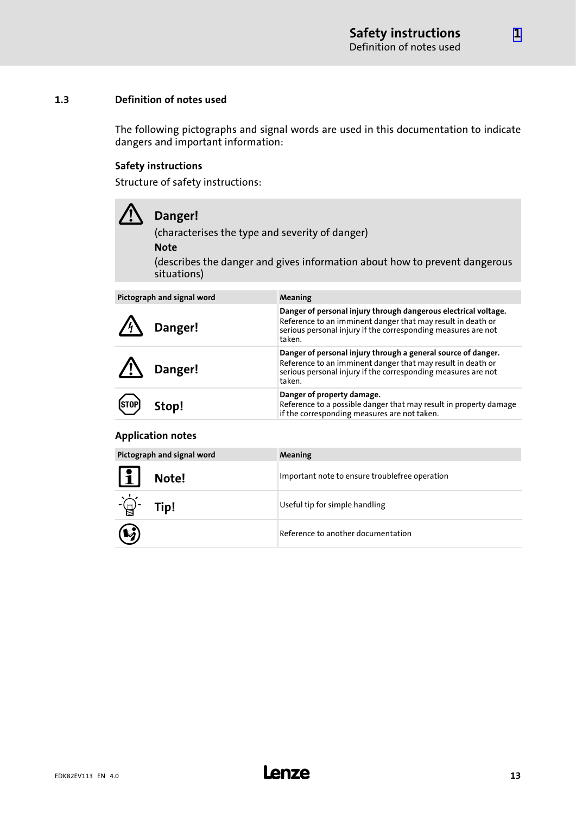#### <span id="page-12-0"></span>1.3 Definition of notes used

The following pictographs and signal words are used in this documentation to indicate dangers and important information:

#### Safety instructions

Structure of safety instructions:

| $\sqrt{1}$ | Danger!<br>(characterises the type and severity of danger)<br><b>Note</b><br>situations) | (describes the danger and gives information about how to prevent dangerous |
|------------|------------------------------------------------------------------------------------------|----------------------------------------------------------------------------|
|            | Pictograph and signal word                                                               | Meaning                                                                    |

| <b>FILLUXIAPII AIIU SIXIIAI WUIU</b> |         | <b>IVICALILLE</b>                                                                                                                                                                                         |
|--------------------------------------|---------|-----------------------------------------------------------------------------------------------------------------------------------------------------------------------------------------------------------|
|                                      | Danger! | Danger of personal injury through dangerous electrical voltage.<br>Reference to an imminent danger that may result in death or<br>serious personal injury if the corresponding measures are not<br>taken. |
|                                      | Danger! | Danger of personal injury through a general source of danger.<br>Reference to an imminent danger that may result in death or<br>serious personal injury if the corresponding measures are not<br>taken.   |
| (STOP)                               | Stop!   | Danger of property damage.<br>Reference to a possible danger that may result in property damage<br>if the corresponding measures are not taken.                                                           |

#### Application notes

| Pictograph and signal word |       | Meaning                                        |
|----------------------------|-------|------------------------------------------------|
| $\boxed{1}$                | Note! | Important note to ensure troublefree operation |
| -(-)-<br>  남               | Tip!  | Useful tip for simple handling                 |
| $\mathbf{Q}$               |       | Reference to another documentation             |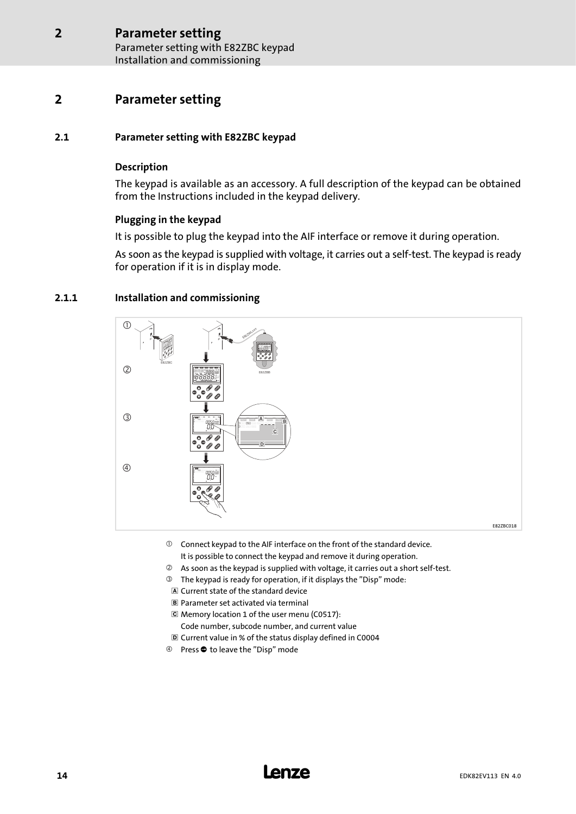### <span id="page-13-0"></span>2 Parameter setting

#### 2.1 Parameter setting with E82ZBC keypad

#### Description

The keypad is available as an accessory. A full description of the keypad can be obtained from the Instructions included in the keypad delivery.

#### Plugging in the keypad

It is possible to plug the keypad into the AIF interface or remove it during operation.

As soon as the keypad is supplied with voltage, it carries out a self−test. The keypad is ready for operation if it is in display mode.

#### 2.1.1 Installation and commissioning



- $\odot$  Connect keypad to the AIF interface on the front of the standard device. It is possible to connect the keypad and remove it during operation.
- As soon as the keypad is supplied with voltage, it carries out a short self−test.
- The keypad is ready for operation, if it displays the "Disp" mode:
- Current state of the standard device
- Parameter set activated via terminal
- Memory location 1 of the user menu (C0517):
	- Code number, subcode number, and current value
- Current value in % of the status display defined in C0004
- 4 Press  $\bullet$  to leave the "Disp" mode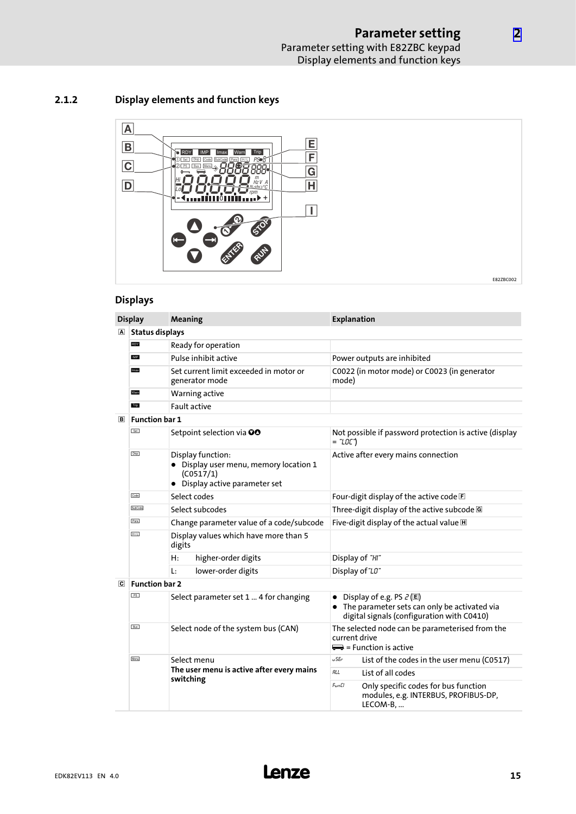[2](#page-13-0)

#### <span id="page-14-0"></span>2.1.2 Display elements and function keys



#### Displays

|                | <b>Display</b>         | <b>Meaning</b>                                                                                             | <b>Explanation</b>                                                                                                         |  |  |  |  |
|----------------|------------------------|------------------------------------------------------------------------------------------------------------|----------------------------------------------------------------------------------------------------------------------------|--|--|--|--|
| $\vert$ A      | <b>Status displays</b> |                                                                                                            |                                                                                                                            |  |  |  |  |
|                | RDY                    | Ready for operation                                                                                        |                                                                                                                            |  |  |  |  |
|                | IMP                    | Pulse inhibit active                                                                                       | Power outputs are inhibited                                                                                                |  |  |  |  |
|                | Imax                   | Set current limit exceeded in motor or<br>generator mode                                                   | C0022 (in motor mode) or C0023 (in generator<br>mode)                                                                      |  |  |  |  |
|                | Warn                   | Warning active                                                                                             |                                                                                                                            |  |  |  |  |
|                | Trip                   | <b>Fault active</b>                                                                                        |                                                                                                                            |  |  |  |  |
| $\boxed{B}$    | <b>Function bar 1</b>  |                                                                                                            |                                                                                                                            |  |  |  |  |
|                | Set                    | Setpoint selection via OO                                                                                  | Not possible if password protection is active (display<br>= "LOC")                                                         |  |  |  |  |
|                | Disp                   | Display function:<br>• Display user menu, memory location 1<br>(C0517/1)<br>• Display active parameter set | Active after every mains connection                                                                                        |  |  |  |  |
|                | Code                   | Select codes                                                                                               | Four-digit display of the active code E                                                                                    |  |  |  |  |
|                | SubCode                | Select subcodes                                                                                            | Three-digit display of the active subcode G                                                                                |  |  |  |  |
|                | Para                   | Change parameter value of a code/subcode                                                                   | Five-digit display of the actual value H                                                                                   |  |  |  |  |
|                | H/L                    | Display values which have more than 5<br>digits                                                            |                                                                                                                            |  |  |  |  |
|                |                        | H:<br>higher-order digits                                                                                  | Display of "HI"                                                                                                            |  |  |  |  |
|                |                        | lower-order digits<br>Ŀ.                                                                                   | Display of "LO"                                                                                                            |  |  |  |  |
| $\overline{c}$ | <b>Function bar 2</b>  |                                                                                                            |                                                                                                                            |  |  |  |  |
|                | PS                     | Select parameter set 1  4 for changing                                                                     | Display of e.g. PS $2$ (E)<br>• The parameter sets can only be activated via<br>digital signals (configuration with C0410) |  |  |  |  |
|                | <b>Bus</b>             | Select node of the system bus (CAN)                                                                        | The selected node can be parameterised from the<br>current drive<br>$\implies$ = Function is active                        |  |  |  |  |
|                | Menu                   | Select menu                                                                                                | u SEr<br>List of the codes in the user menu (C0517)                                                                        |  |  |  |  |
|                |                        | The user menu is active after every mains<br>switching                                                     | <b>RLL</b><br>List of all codes                                                                                            |  |  |  |  |
|                |                        |                                                                                                            | FunCl<br>Only specific codes for bus function<br>modules, e.g. INTERBUS, PROFIBUS-DP,<br>LECOM-B,                          |  |  |  |  |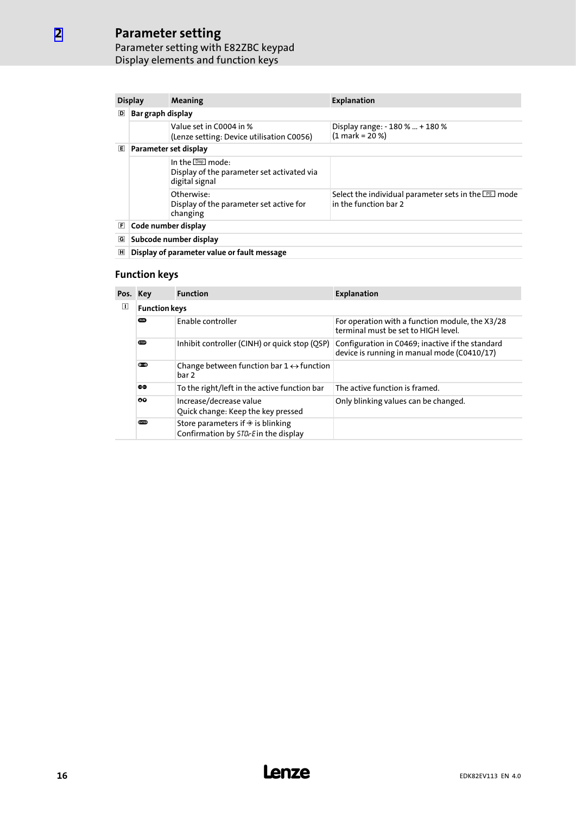### Parameter setting

[2](#page-13-0)

#### Parameter setting with E82ZBC keypad Display elements and function keys

| <b>Display</b> |                        | Meaning                                                                                            | <b>Explanation</b>                                                                    |  |  |  |  |  |
|----------------|------------------------|----------------------------------------------------------------------------------------------------|---------------------------------------------------------------------------------------|--|--|--|--|--|
| D              | Bar graph display      |                                                                                                    |                                                                                       |  |  |  |  |  |
|                |                        | Value set in C0004 in %<br>(Lenze setting: Device utilisation C0056)                               | Display range: - 180 %  + 180 %<br>$(1 mark = 20 %$                                   |  |  |  |  |  |
| 囘              |                        | Parameter set display                                                                              |                                                                                       |  |  |  |  |  |
|                |                        | In the $\boxed{\text{Disp}}$ mode:<br>Display of the parameter set activated via<br>digital signal |                                                                                       |  |  |  |  |  |
|                |                        | Otherwise:<br>Display of the parameter set active for<br>changing                                  | Select the individual parameter sets in the $P\text{s}$ mode<br>in the function har 2 |  |  |  |  |  |
| E              | Code number display    |                                                                                                    |                                                                                       |  |  |  |  |  |
| G              | Subcode number display |                                                                                                    |                                                                                       |  |  |  |  |  |
| 囲              |                        | Display of parameter value or fault message                                                        |                                                                                       |  |  |  |  |  |

#### Function keys

| Pos. Key |                      | <b>Function</b>                                                                            | <b>Explanation</b>                                                                              |  |  |  |
|----------|----------------------|--------------------------------------------------------------------------------------------|-------------------------------------------------------------------------------------------------|--|--|--|
| ◫        | <b>Function keys</b> |                                                                                            |                                                                                                 |  |  |  |
|          | <b>GUN</b>           | Enable controller                                                                          | For operation with a function module, the X3/28<br>terminal must be set to HIGH level.          |  |  |  |
|          | <b>STOP</b>          | Inhibit controller (CINH) or quick stop (QSP)                                              | Configuration in C0469; inactive if the standard<br>device is running in manual mode (C0410/17) |  |  |  |
|          | $0 - 2$              | Change between function bar $1 \leftrightarrow$ function<br>bar 2                          |                                                                                                 |  |  |  |
|          | 60                   | To the right/left in the active function bar                                               | The active function is framed.                                                                  |  |  |  |
|          | ٥Q                   | Increase/decrease value<br>Quick change: Keep the key pressed                              | Only blinking values can be changed.                                                            |  |  |  |
|          | <b>CATED</b>         | Store parameters if $\hat{\mathcal{F}}$ is blinking<br>Confirmation by 5TD-Ein the display |                                                                                                 |  |  |  |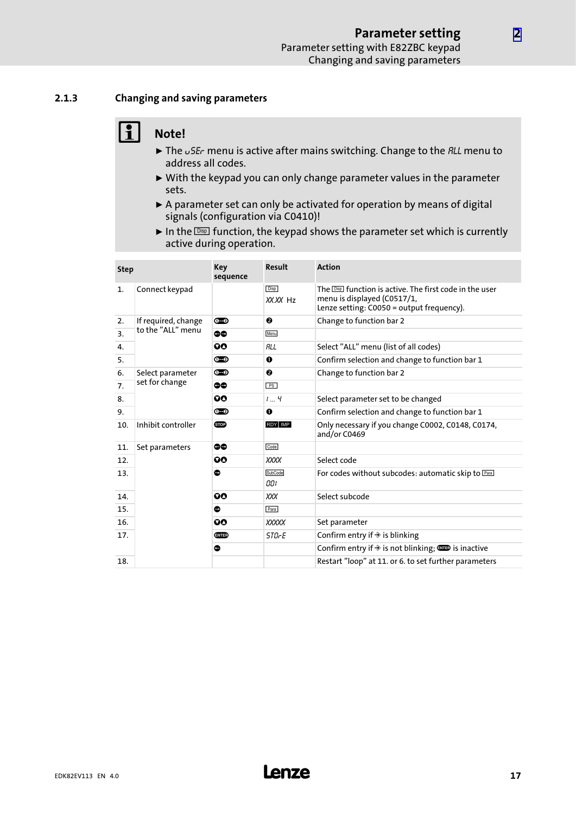#### <span id="page-16-0"></span>2.1.3 Changing and saving parameters

### $\begin{bmatrix} 1 \\ 1 \end{bmatrix}$  Note!

- $\blacktriangleright$  The  $\omega$ 5E<sub>c</sub> menu is active after mains switching. Change to the *RLL* menu to address all codes.
- $\triangleright$  With the keypad you can only change parameter values in the parameter sets.
- $\triangleright$  A parameter set can only be activated for operation by means of digital signals (configuration via C0410)!
- In the  $\overline{\text{Des}}$  function, the keypad shows the parameter set which is currently active during operation.

| <b>Step</b> |                     | Key<br>sequence | Result                  | <b>Action</b>                                                                                                                                |
|-------------|---------------------|-----------------|-------------------------|----------------------------------------------------------------------------------------------------------------------------------------------|
| 1.          | Connect keypad      |                 | <b>Disp</b><br>XX.XX Hz | The <b>Disp</b> function is active. The first code in the user<br>menu is displayed (C0517/1,<br>Lenze setting: $C0050 =$ output frequency). |
| 2.          | If required, change | $0 - 2$         | ❷                       | Change to function bar 2                                                                                                                     |
| 3.          | to the "ALL" menu   | ٥O              | Menu                    |                                                                                                                                              |
| 4.          |                     | 00              | <b>RLL</b>              | Select "ALL" menu (list of all codes)                                                                                                        |
| 5.          |                     | $0 - 2$         | $\bf o$                 | Confirm selection and change to function bar 1                                                                                               |
| 6.          | Select parameter    | ൈ               | ❷                       | Change to function bar 2                                                                                                                     |
| 7.          | set for change      | 66              | PS                      |                                                                                                                                              |
| 8.          |                     | QΟ              | $1 - 4$                 | Select parameter set to be changed                                                                                                           |
| 9.          |                     | $0 - 2$         | O                       | Confirm selection and change to function bar 1                                                                                               |
| 10.         | Inhibit controller  | <b>STOP</b>     | RDY MP                  | Only necessary if you change C0002, C0148, C0174,<br>and/or C0469                                                                            |
| 11.         | Set parameters      | 60              | Code                    |                                                                                                                                              |
| 12.         |                     | 90              | XXXX                    | Select code                                                                                                                                  |
| 13.         |                     | $\bullet$       | SubCode<br>OOI          | For codes without subcodes: automatic skip to Paral                                                                                          |
| 14.         |                     | 90              | XXX                     | Select subcode                                                                                                                               |
| 15.         |                     | ●               | Para                    |                                                                                                                                              |
| 16.         |                     | 90              | <b>XXXXX</b>            | Set parameter                                                                                                                                |
| 17.         |                     | enie)           | <i><b>STOrE</b></i>     | Confirm entry if $\triangle$ is blinking                                                                                                     |
|             |                     | $\bullet$       |                         | Confirm entry if $\triangle$ is not blinking; $\blacksquare$ is inactive                                                                     |
| 18.         |                     |                 |                         | Restart "loop" at 11. or 6. to set further parameters                                                                                        |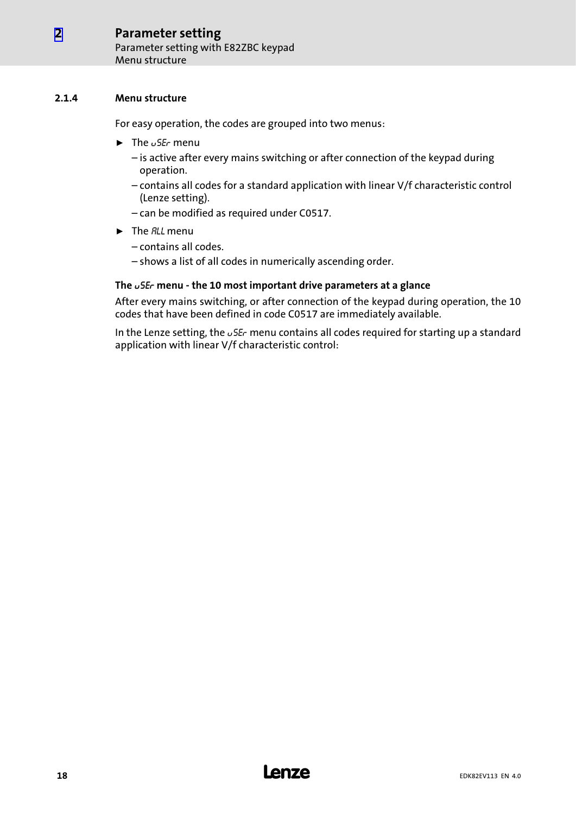#### <span id="page-17-0"></span>2.1.4 Menu structure

For easy operation, the codes are grouped into two menus:

- $\blacktriangleright$  The  $\upsilon$  SE<sub>c</sub> menu
	- is active after every mains switching or after connection of the keypad during operation.
	- contains all codes for a standard application with linear V/f characteristic control (Lenze setting).
	- can be modified as required under C0517.
- $\blacktriangleright$  The *RLL* menu
	- contains all codes.
	- shows a list of all codes in numerically ascending order.

#### The uSEr menu − the 10 most important drive parameters at a glance

After every mains switching, or after connection of the keypad during operation, the 10 codes that have been defined in code C0517 are immediately available.

In the Lenze setting, the  $\sqrt{5}E_r$  menu contains all codes required for starting up a standard application with linear V/f characteristic control: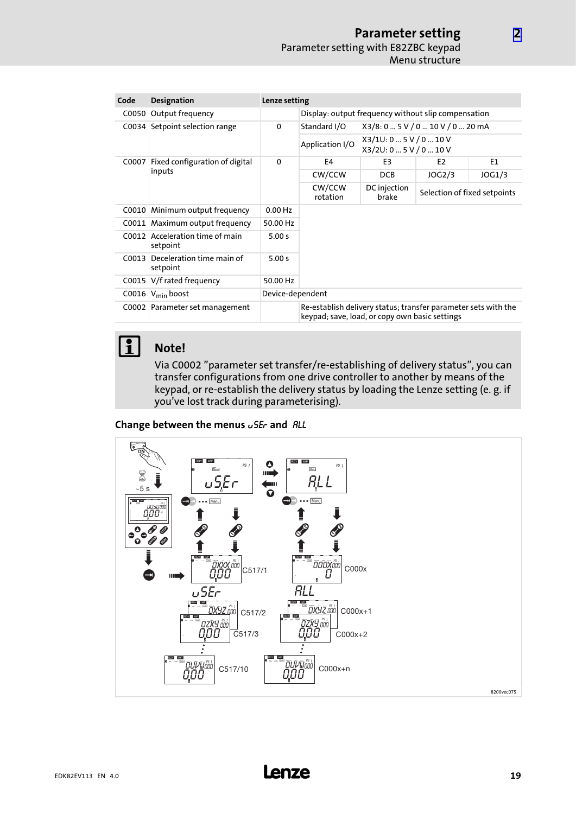| Code  | <b>Designation</b>                    | Lenze setting |                                                                                                                  |                                                     |                              |        |  |  |  |
|-------|---------------------------------------|---------------|------------------------------------------------------------------------------------------------------------------|-----------------------------------------------------|------------------------------|--------|--|--|--|
| C0050 | Output frequency                      |               |                                                                                                                  | Display: output frequency without slip compensation |                              |        |  |  |  |
| COO34 | Setpoint selection range              | $\mathbf 0$   | Standard I/O                                                                                                     | X3/8: 0  5 V / 0  10 V / 0  20 mA                   |                              |        |  |  |  |
|       |                                       |               | Application I/O                                                                                                  | X3/10:05V/010V<br>X3/2U: 0  5 V / 0  10 V           |                              |        |  |  |  |
| C0007 | Fixed configuration of digital        | $\mathbf 0$   | F4                                                                                                               | E3                                                  | E <sub>2</sub>               | E1     |  |  |  |
|       | inputs                                |               | CW/CCW                                                                                                           | <b>DCB</b>                                          | JOG2/3                       | JOG1/3 |  |  |  |
|       |                                       |               | CW/CCW<br>rotation                                                                                               | DC injection<br>brake                               | Selection of fixed setpoints |        |  |  |  |
| C0010 | Minimum output frequency              | $0.00$ Hz     |                                                                                                                  |                                                     |                              |        |  |  |  |
|       | C0011 Maximum output frequency        | 50.00 Hz      |                                                                                                                  |                                                     |                              |        |  |  |  |
| C0012 | Acceleration time of main<br>setpoint | 5.00 s        |                                                                                                                  |                                                     |                              |        |  |  |  |
| COO13 | Deceleration time main of<br>setpoint | 5.00 s        |                                                                                                                  |                                                     |                              |        |  |  |  |
| COO15 | V/f rated frequency                   | 50.00 Hz      |                                                                                                                  |                                                     |                              |        |  |  |  |
|       | C0016 $V_{min}$ boost                 |               | Device-dependent                                                                                                 |                                                     |                              |        |  |  |  |
|       | C0002 Parameter set management        |               | Re-establish delivery status; transfer parameter sets with the<br>keypad; save, load, or copy own basic settings |                                                     |                              |        |  |  |  |

**1** Note!

#### Via C0002 "parameter set transfer/re−establishing of delivery status", you can transfer configurations from one drive controller to another by means of the keypad, or re−establish the delivery status by loading the Lenze setting (e. g. if you've lost track during parameterising).

Change between the menus  $\sigma$ SEr and ALL

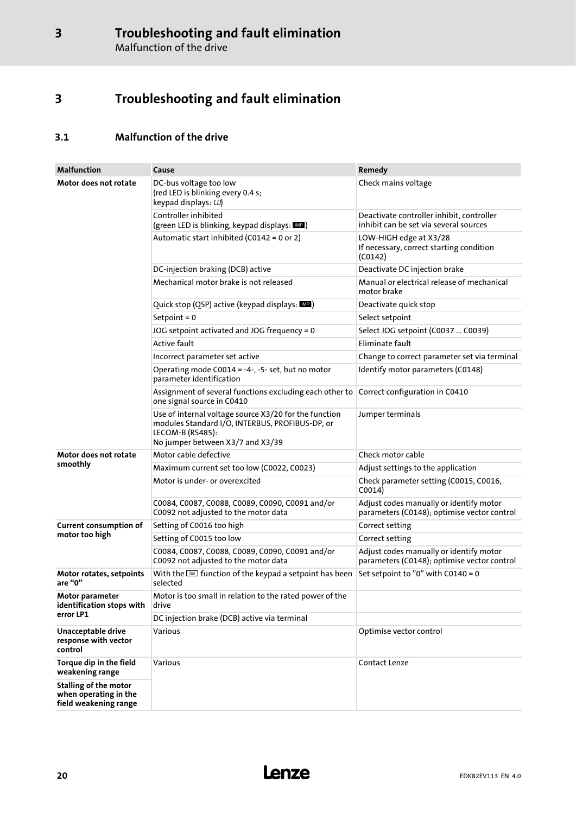### <span id="page-19-0"></span>3 Troubleshooting and fault elimination

### 3.1 Malfunction of the drive

| <b>Malfunction</b>                                                             | Cause                                                                                                                                                            | Remedy                                                                                 |  |
|--------------------------------------------------------------------------------|------------------------------------------------------------------------------------------------------------------------------------------------------------------|----------------------------------------------------------------------------------------|--|
| Motor does not rotate                                                          | DC-bus voltage too low<br>(red LED is blinking every 0.4 s;<br>keypad displays: LU)                                                                              | Check mains voltage                                                                    |  |
|                                                                                | Controller inhibited<br>(green LED is blinking, keypad displays: DEP)                                                                                            | Deactivate controller inhibit, controller<br>inhibit can be set via several sources    |  |
|                                                                                | Automatic start inhibited (C0142 = 0 or 2)                                                                                                                       | LOW-HIGH edge at X3/28<br>If necessary, correct starting condition<br>(C0142)          |  |
|                                                                                | DC-injection braking (DCB) active                                                                                                                                | Deactivate DC injection brake                                                          |  |
|                                                                                | Mechanical motor brake is not released                                                                                                                           | Manual or electrical release of mechanical<br>motor brake                              |  |
|                                                                                | Quick stop (QSP) active (keypad displays: MP)                                                                                                                    | Deactivate quick stop                                                                  |  |
|                                                                                | Setpoint = $0$                                                                                                                                                   | Select setpoint                                                                        |  |
|                                                                                | JOG setpoint activated and JOG frequency = 0                                                                                                                     | Select JOG setpoint (C0037  C0039)                                                     |  |
|                                                                                | <b>Active fault</b>                                                                                                                                              | Eliminate fault                                                                        |  |
|                                                                                | Incorrect parameter set active                                                                                                                                   | Change to correct parameter set via terminal                                           |  |
|                                                                                | Operating mode C0014 = -4-, -5- set, but no motor<br>parameter identification                                                                                    | Identify motor parameters (C0148)                                                      |  |
|                                                                                | Assignment of several functions excluding each other to<br>one signal source in C0410                                                                            | Correct configuration in C0410                                                         |  |
|                                                                                | Use of internal voltage source X3/20 for the function<br>modules Standard I/O, INTERBUS, PROFIBUS-DP, or<br>LECOM-B (RS485):<br>No jumper between X3/7 and X3/39 | Jumper terminals                                                                       |  |
| Motor does not rotate                                                          | Motor cable defective                                                                                                                                            | Check motor cable                                                                      |  |
| smoothly                                                                       | Maximum current set too low (C0022, C0023)                                                                                                                       | Adjust settings to the application                                                     |  |
|                                                                                | Motor is under- or overexcited                                                                                                                                   | Check parameter setting (C0015, C0016,<br>C0014)                                       |  |
|                                                                                | C0084, C0087, C0088, C0089, C0090, C0091 and/or<br>C0092 not adjusted to the motor data                                                                          | Adjust codes manually or identify motor<br>parameters (C0148); optimise vector control |  |
| <b>Current consumption of</b>                                                  | Setting of C0016 too high                                                                                                                                        | Correct setting                                                                        |  |
| motor too high                                                                 | Setting of C0015 too low                                                                                                                                         | Correct setting                                                                        |  |
|                                                                                | C0084, C0087, C0088, C0089, C0090, C0091 and/or<br>C0092 not adjusted to the motor data                                                                          | Adjust codes manually or identify motor<br>parameters (C0148); optimise vector control |  |
| Motor rotates, setpoints<br>are "0"                                            | With the <b>Set</b> function of the keypad a setpoint has been<br>selected                                                                                       | Set setpoint to "0" with C0140 = 0                                                     |  |
| Motor parameter<br>identification stops with                                   | Motor is too small in relation to the rated power of the<br>drive                                                                                                |                                                                                        |  |
| error LP1                                                                      | DC injection brake (DCB) active via terminal                                                                                                                     |                                                                                        |  |
| Unacceptable drive<br>response with vector<br>control                          | Various                                                                                                                                                          | Optimise vector control                                                                |  |
| Torque dip in the field<br>weakening range                                     | Various                                                                                                                                                          | Contact Lenze                                                                          |  |
| <b>Stalling of the motor</b><br>when operating in the<br>field weakening range |                                                                                                                                                                  |                                                                                        |  |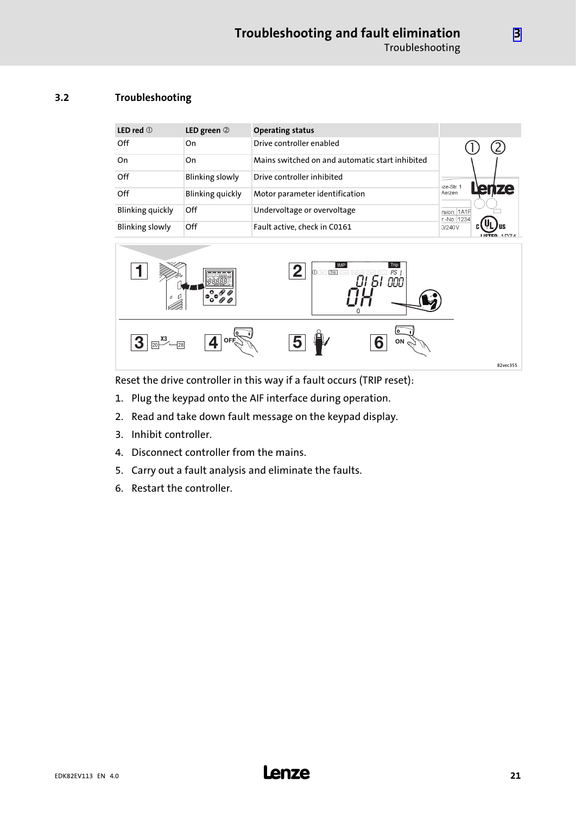#### <span id="page-20-0"></span>3.2 Troubleshooting

| LED red $\odot$         | LED green $@$          | <b>Operating status</b>                         |                            |
|-------------------------|------------------------|-------------------------------------------------|----------------------------|
| Off                     | On                     | Drive controller enabled                        |                            |
| On                      | On                     | Mains switched on and automatic start inhibited |                            |
| Off                     | <b>Blinking slowly</b> | Drive controller inhibited                      | 1ze-Str. 1                 |
| Off                     | Blinking quickly       | Motor parameter identification                  | <b>ze</b><br>ren<br>Aerzen |
| <b>Blinking quickly</b> | Off                    | Undervoltage or overvoltage                     | rsion: 1A1F<br>r.-No: 1234 |
| <b>Blinking slowly</b>  | Off                    | Fault active, check in C0161                    | 0/240V                     |



Reset the drive controller in this way if a fault occurs (TRIP reset):

- 1. Plug the keypad onto the AIF interface during operation.
- 2. Read and take down fault message on the keypad display.
- 3. Inhibit controller.
- 4. Disconnect controller from the mains.
- 5. Carry out a fault analysis and eliminate the faults.
- 6. Restart the controller.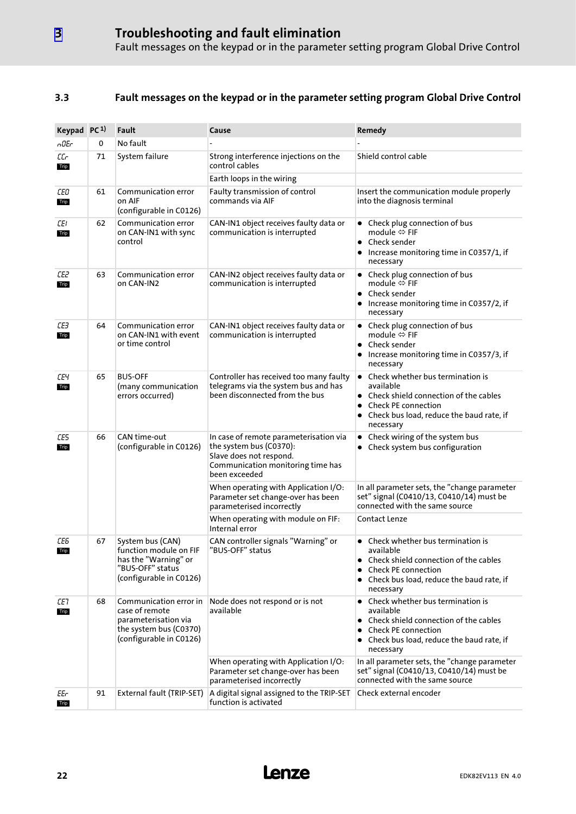#### <span id="page-21-0"></span>3.3 Fault messages on the keypad or in the parameter setting program Global Drive Control

| Keypad PC <sup>1)</sup> |    | Fault                                                                                                                 | Cause                                                                                                                                              | Remedy                                                                                                                                                                                                    |
|-------------------------|----|-----------------------------------------------------------------------------------------------------------------------|----------------------------------------------------------------------------------------------------------------------------------------------------|-----------------------------------------------------------------------------------------------------------------------------------------------------------------------------------------------------------|
| n0Er                    | 0  | No fault                                                                                                              |                                                                                                                                                    |                                                                                                                                                                                                           |
| СG<br>Trip              | 71 | System failure                                                                                                        | Strong interference injections on the<br>control cables                                                                                            | Shield control cable                                                                                                                                                                                      |
|                         |    |                                                                                                                       | Earth loops in the wiring                                                                                                                          |                                                                                                                                                                                                           |
| СEО<br>Trip             | 61 | Communication error<br>on AIF<br>(configurable in C0126)                                                              | Faulty transmission of control<br>commands via AIF                                                                                                 | Insert the communication module properly<br>into the diagnosis terminal                                                                                                                                   |
| CEI.<br>Trip            | 62 | Communication error<br>on CAN-IN1 with sync<br>control                                                                | CAN-IN1 object receives faulty data or<br>communication is interrupted                                                                             | • Check plug connection of bus<br>module $\Leftrightarrow$ FIF<br>• Check sender<br>• Increase monitoring time in C0357/1, if<br>necessary                                                                |
| СE2<br>Trip             | 63 | Communication error<br>on CAN-IN2                                                                                     | CAN-IN2 object receives faulty data or<br>communication is interrupted                                                                             | • Check plug connection of bus<br>module ⇔ FIF<br>Check sender<br>Increase monitoring time in C0357/2, if<br>٠<br>necessary                                                                               |
| СEЗ<br>Trip             | 64 | Communication error<br>on CAN-IN1 with event<br>or time control                                                       | CAN-IN1 object receives faulty data or<br>communication is interrupted                                                                             | Check plug connection of bus<br>٠<br>module $\Leftrightarrow$ FIF<br>• Check sender<br>Increase monitoring time in C0357/3, if<br>necessary                                                               |
| ΕЕЧ<br>Trip             | 65 | <b>BUS-OFF</b><br>(many communication<br>errors occurred)                                                             | Controller has received too many faulty<br>telegrams via the system bus and has<br>been disconnected from the bus                                  | Check whether bus termination is<br>$\bullet$<br>available<br>• Check shield connection of the cables<br>Check PE connection<br>٠<br>Check bus load, reduce the baud rate, if<br>necessary                |
| 66<br>CE5<br>Trip       |    | CAN time-out<br>(configurable in C0126)                                                                               | In case of remote parameterisation via<br>the system bus (C0370):<br>Slave does not respond.<br>Communication monitoring time has<br>been exceeded | Check wiring of the system bus<br>$\bullet$<br>• Check system bus configuration                                                                                                                           |
|                         |    |                                                                                                                       | When operating with Application I/O:<br>Parameter set change-over has been<br>parameterised incorrectly                                            | In all parameter sets, the "change parameter<br>set" signal (C0410/13, C0410/14) must be<br>connected with the same source                                                                                |
|                         |    |                                                                                                                       | When operating with module on FIF:<br>Internal error                                                                                               | Contact Lenze                                                                                                                                                                                             |
| СEБ<br>Trip             | 67 | System bus (CAN)<br>function module on FIF<br>has the "Warning" or<br>"BUS-OFF" status<br>(configurable in C0126)     | CAN controller signals "Warning" or<br>"BUS-OFF" status                                                                                            | Check whether bus termination is<br>$\bullet$<br>available<br>Check shield connection of the cables<br><b>Check PE connection</b><br>Check bus load, reduce the baud rate, if<br>necessary                |
| CE7<br>Trip             | 68 | Communication error in<br>case of remote<br>parameterisation via<br>the system bus (C0370)<br>(configurable in C0126) | Node does not respond or is not<br>available                                                                                                       | Check whether bus termination is<br>$\bullet$<br>available<br>Check shield connection of the cables<br>$\bullet$<br><b>Check PE connection</b><br>• Check bus load, reduce the baud rate, if<br>necessary |
|                         |    |                                                                                                                       | When operating with Application I/O:<br>Parameter set change-over has been<br>parameterised incorrectly                                            | In all parameter sets, the "change parameter<br>set" signal (C0410/13, C0410/14) must be<br>connected with the same source                                                                                |
| EEr<br>Trip             | 91 | External fault (TRIP-SET)                                                                                             | A digital signal assigned to the TRIP-SET<br>function is activated                                                                                 | Check external encoder                                                                                                                                                                                    |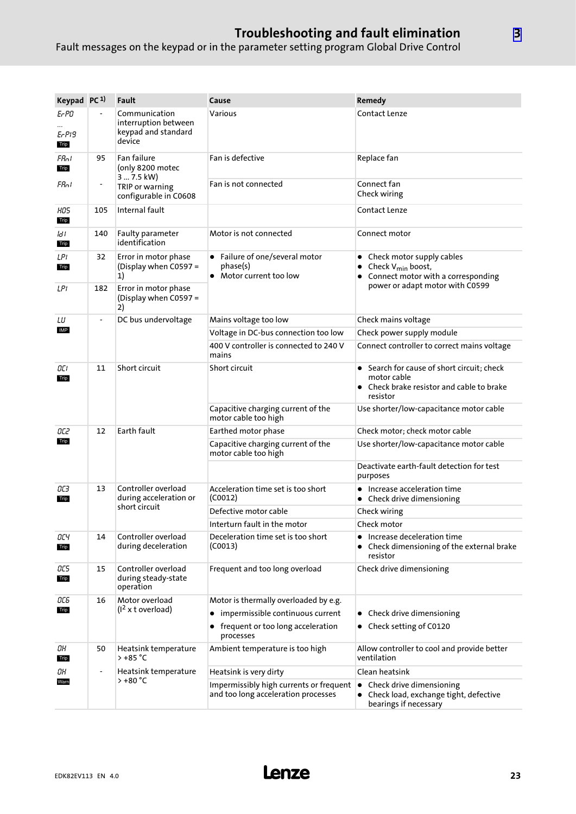### Troubleshooting and fault elimination

Fault messages on the keypad or in the parameter setting program Global Drive Control

| Keypad PC <sup>1)</sup> |                          | Fault                                                                  | Cause                                                                          | Remedy                                                                                                                                |
|-------------------------|--------------------------|------------------------------------------------------------------------|--------------------------------------------------------------------------------|---------------------------------------------------------------------------------------------------------------------------------------|
| Er PO<br>Er PI9<br>Trip |                          | Communication<br>interruption between<br>keypad and standard<br>device | Various                                                                        | Contact Lenze                                                                                                                         |
| Fflot<br>Trip           | 95                       | Fan failure<br>(only 8200 motec<br>3  7.5 kW)                          | Fan is defective                                                               | Replace fan                                                                                                                           |
| FRol                    |                          | TRIP or warning<br>configurable in C0608                               | Fan is not connected                                                           | Connect fan<br>Check wiring                                                                                                           |
| HOS.<br>Trip            | 105                      | Internal fault                                                         |                                                                                | Contact Lenze                                                                                                                         |
| ld I<br>Trip            | 140                      | Faulty parameter<br>identification                                     | Motor is not connected                                                         | Connect motor                                                                                                                         |
| LPI<br>Trip             | 32                       | Error in motor phase<br>(Display when C0597 =<br>1)                    | • Failure of one/several motor<br>phase(s)<br>• Motor current too low          | • Check motor supply cables<br>Check V <sub>min</sub> boost,<br>Connect motor with a corresponding<br>power or adapt motor with C0599 |
| LPI                     | 182                      | Error in motor phase<br>(Display when C0597 =<br>2)                    |                                                                                |                                                                                                                                       |
| LU                      | $\overline{\phantom{a}}$ | DC bus undervoltage                                                    | Mains voltage too low                                                          | Check mains voltage                                                                                                                   |
| IMP                     |                          |                                                                        | Voltage in DC-bus connection too low                                           | Check power supply module                                                                                                             |
|                         |                          |                                                                        | 400 V controller is connected to 240 V<br>mains                                | Connect controller to correct mains voltage                                                                                           |
| 11<br>OCI<br>Trip       |                          | Short circuit                                                          | Short circuit                                                                  | • Search for cause of short circuit; check<br>motor cable<br>• Check brake resistor and cable to brake<br>resistor                    |
|                         |                          |                                                                        | Capacitive charging current of the<br>motor cable too high                     | Use shorter/low-capacitance motor cable                                                                                               |
| OC2                     | 12                       | Earth fault                                                            | Earthed motor phase                                                            | Check motor; check motor cable                                                                                                        |
| Trip                    |                          |                                                                        | Capacitive charging current of the<br>motor cable too high                     | Use shorter/low-capacitance motor cable                                                                                               |
|                         |                          |                                                                        |                                                                                | Deactivate earth-fault detection for test<br>purposes                                                                                 |
| 13<br>OСЗ<br>Trip       |                          | Controller overload<br>during acceleration or<br>short circuit         | Acceleration time set is too short<br>(C0012)                                  | • Increase acceleration time<br>• Check drive dimensioning                                                                            |
|                         |                          |                                                                        | Defective motor cable                                                          | Check wiring                                                                                                                          |
|                         |                          |                                                                        | Interturn fault in the motor                                                   | Check motor                                                                                                                           |
| ОСЧ<br>Trip             | 14                       | Controller overload<br>during deceleration                             | Deceleration time set is too short<br>(C0013)                                  | Increase deceleration time<br>• Check dimensioning of the external brake<br>resistor                                                  |
| OC 5<br>Trip            | 15                       | Controller overload<br>during steady-state<br>operation                | Frequent and too long overload                                                 | Check drive dimensioning                                                                                                              |
| ОСБ<br>16               |                          | Motor overload                                                         | Motor is thermally overloaded by e.g.                                          |                                                                                                                                       |
| Trip                    |                          | (1 <sup>2</sup> x t overload)                                          | • impermissible continuous current                                             | • Check drive dimensioning                                                                                                            |
|                         |                          |                                                                        | frequent or too long acceleration<br>processes                                 | • Check setting of C0120                                                                                                              |
| OН<br>Trip              | 50                       | Heatsink temperature<br>> +85 °C                                       | Ambient temperature is too high                                                | Allow controller to cool and provide better<br>ventilation                                                                            |
| OН                      |                          | Heatsink temperature                                                   | Heatsink is very dirty                                                         | Clean heatsink                                                                                                                        |
| Warn                    |                          | $> +80 °C$                                                             | Impermissibly high currents or frequent<br>and too long acceleration processes | Check drive dimensioning<br>٠<br>• Check load, exchange tight, defective<br>bearings if necessary                                     |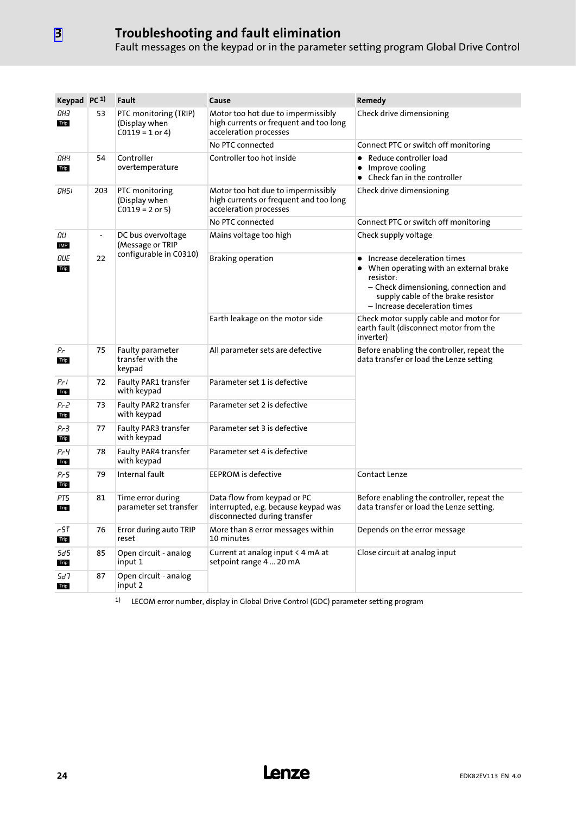### Troubleshooting and fault elimination

Fault messages on the keypad or in the parameter setting program Global Drive Control

| Keypad PC <sup>1)</sup> |               | Fault                                                       | Cause                                                                                                  | Remedy                                                                                                                                                                                             |
|-------------------------|---------------|-------------------------------------------------------------|--------------------------------------------------------------------------------------------------------|----------------------------------------------------------------------------------------------------------------------------------------------------------------------------------------------------|
| ОНЗ<br>Trip             | 53            | PTC monitoring (TRIP)<br>(Display when<br>$C0119 = 1$ or 4) | Motor too hot due to impermissibly<br>high currents or frequent and too long<br>acceleration processes | Check drive dimensioning                                                                                                                                                                           |
|                         |               |                                                             | No PTC connected                                                                                       | Connect PTC or switch off monitoring                                                                                                                                                               |
| ОНЧ<br>Trip             | 54            | Controller<br>overtemperature                               | Controller too hot inside                                                                              | • Reduce controller load<br>Improve cooling<br>• Check fan in the controller                                                                                                                       |
| 0H51                    | 203           | PTC monitoring<br>(Display when<br>$C0119 = 2$ or 5)        | Motor too hot due to impermissibly<br>high currents or frequent and too long<br>acceleration processes | Check drive dimensioning                                                                                                                                                                           |
|                         |               |                                                             | No PTC connected                                                                                       | Connect PTC or switch off monitoring                                                                                                                                                               |
| ŪU<br>IMP               | $\frac{1}{2}$ | DC bus overvoltage<br>(Message or TRIP                      | Mains voltage too high                                                                                 | Check supply voltage                                                                                                                                                                               |
| OUE<br>Trip             | 22            | configurable in C0310)                                      | <b>Braking operation</b>                                                                               | • Increase deceleration times<br>When operating with an external brake<br>resistor:<br>- Check dimensioning, connection and<br>supply cable of the brake resistor<br>- Increase deceleration times |
|                         |               |                                                             | Earth leakage on the motor side                                                                        | Check motor supply cable and motor for<br>earth fault (disconnect motor from the<br>inverter)                                                                                                      |
| Ρr<br>Trip              | 75            | <b>Faulty parameter</b><br>transfer with the<br>keypad      | All parameter sets are defective                                                                       | Before enabling the controller, repeat the<br>data transfer or load the Lenze setting                                                                                                              |
| Pri<br>Trip             | 72            | <b>Faulty PAR1 transfer</b><br>with keypad                  | Parameter set 1 is defective                                                                           |                                                                                                                                                                                                    |
| Pr2<br>Trip             | 73            | <b>Faulty PAR2 transfer</b><br>with keypad                  | Parameter set 2 is defective                                                                           |                                                                                                                                                                                                    |
| Pr 3<br>Trip            | 77            | Faulty PAR3 transfer<br>with keypad                         | Parameter set 3 is defective                                                                           |                                                                                                                                                                                                    |
| РгЧ<br>Trip             | 78            | Faulty PAR4 transfer<br>with keypad                         | Parameter set 4 is defective                                                                           |                                                                                                                                                                                                    |
| Pr 5<br>Trip            | 79            | Internal fault                                              | <b>EEPROM</b> is defective                                                                             | Contact Lenze                                                                                                                                                                                      |
| PT5<br>Trip             | 81            | Time error during<br>parameter set transfer                 | Data flow from keypad or PC<br>interrupted, e.g. because keypad was<br>disconnected during transfer    | Before enabling the controller, repeat the<br>data transfer or load the Lenze setting.                                                                                                             |
| 57ء<br>Trip             | 76            | Error during auto TRIP<br>reset                             | More than 8 error messages within<br>10 minutes                                                        | Depends on the error message                                                                                                                                                                       |
| 5d5<br>Trip             | 85            | Open circuit - analog<br>input 1                            | Current at analog input < 4 mA at<br>setpoint range 4  20 mA                                           | Close circuit at analog input                                                                                                                                                                      |
| 5d T<br>Trip            | 87            | Open circuit - analog<br>input 2                            |                                                                                                        |                                                                                                                                                                                                    |

1) LECOM error number, display in Global Drive Control (GDC) parameter setting program

[3](#page-19-0)